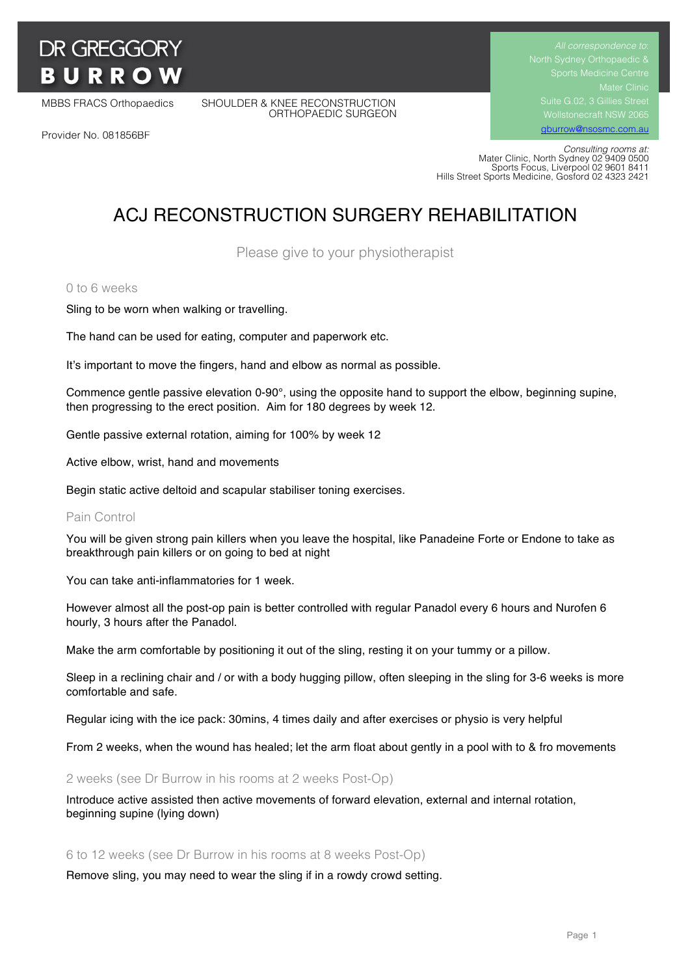# **DR GREGGORY BURROW**

MBBS FRACS Orthopaedics SHOULDER & KNEE RECONSTRUCTION ORTHOPAEDIC SURGEON Suite G.02, 3 Gillies Street Wollstonecraft NSW 2065

gburrow@nsosmc.com.au

Provider No. 081856BF

 *Consulting rooms at:* Mater Clinic, North Sydney 02 9409 0500 Sports Focus, Liverpool 02 9601 8411 Hills Street Sports Medicine, Gosford 02 4323 2421

# ACJ RECONSTRUCTION SURGERY REHABILITATION

Please give to your physiotherapist

#### 0 to 6 weeks

Sling to be worn when walking or travelling.

The hand can be used for eating, computer and paperwork etc.

It's important to move the fingers, hand and elbow as normal as possible.

Commence gentle passive elevation 0-90°, using the opposite hand to support the elbow, beginning supine, then progressing to the erect position. Aim for 180 degrees by week 12.

Gentle passive external rotation, aiming for 100% by week 12

Active elbow, wrist, hand and movements

Begin static active deltoid and scapular stabiliser toning exercises.

#### Pain Control

You will be given strong pain killers when you leave the hospital, like Panadeine Forte or Endone to take as breakthrough pain killers or on going to bed at night

You can take anti-inflammatories for 1 week.

However almost all the post-op pain is better controlled with regular Panadol every 6 hours and Nurofen 6 hourly, 3 hours after the Panadol.

Make the arm comfortable by positioning it out of the sling, resting it on your tummy or a pillow.

Sleep in a reclining chair and / or with a body hugging pillow, often sleeping in the sling for 3-6 weeks is more comfortable and safe.

Regular icing with the ice pack: 30mins, 4 times daily and after exercises or physio is very helpful

From 2 weeks, when the wound has healed; let the arm float about gently in a pool with to & fro movements

2 weeks (see Dr Burrow in his rooms at 2 weeks Post-Op)

Introduce active assisted then active movements of forward elevation, external and internal rotation, beginning supine (lying down)

#### 6 to 12 weeks (see Dr Burrow in his rooms at 8 weeks Post-Op)

Remove sling, you may need to wear the sling if in a rowdy crowd setting.